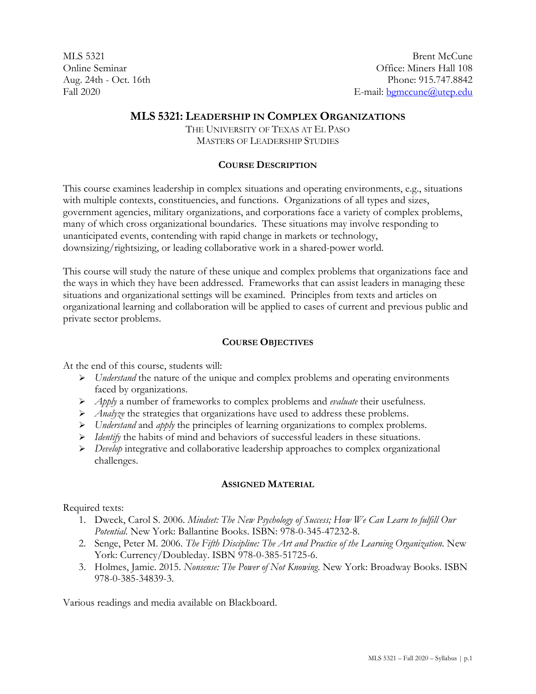MLS 5321 Online Seminar Aug. 24th - Oct. 16th Fall 2020

# **MLS 5321: LEADERSHIP IN COMPLEX ORGANIZATIONS**

THE UNIVERSITY OF TEXAS AT EL PASO MASTERS OF LEADERSHIP STUDIES

### **COURSE DESCRIPTION**

This course examines leadership in complex situations and operating environments, e.g., situations with multiple contexts, constituencies, and functions. Organizations of all types and sizes, government agencies, military organizations, and corporations face a variety of complex problems, many of which cross organizational boundaries. These situations may involve responding to unanticipated events, contending with rapid change in markets or technology, downsizing/rightsizing, or leading collaborative work in a shared-power world.

This course will study the nature of these unique and complex problems that organizations face and the ways in which they have been addressed. Frameworks that can assist leaders in managing these situations and organizational settings will be examined. Principles from texts and articles on organizational learning and collaboration will be applied to cases of current and previous public and private sector problems.

## **COURSE OBJECTIVES**

At the end of this course, students will:

- *Understand* the nature of the unique and complex problems and operating environments faced by organizations.
- *Apply* a number of frameworks to complex problems and *evaluate* their usefulness.
- *Analyze* the strategies that organizations have used to address these problems.
- *Understand* and *apply* the principles of learning organizations to complex problems.
- *► Identify* the habits of mind and behaviors of successful leaders in these situations.
- *Develop* integrative and collaborative leadership approaches to complex organizational challenges.

### **ASSIGNED MATERIAL**

Required texts:

- 1. Dweck, Carol S. 2006. *Mindset: The New Psychology of Success; How We Can Learn to fulfill Our Potential*. New York: Ballantine Books. ISBN: 978-0-345-47232-8.
- 2. Senge, Peter M. 2006. *The Fifth Discipline: The Art and Practice of the Learning Organization*. New York: Currency/Doubleday. ISBN 978-0-385-51725-6.
- 3. Holmes, Jamie. 2015. *Nonsense: The Power of Not Knowing*. New York: Broadway Books. ISBN 978-0-385-34839-3.

Various readings and media available on Blackboard.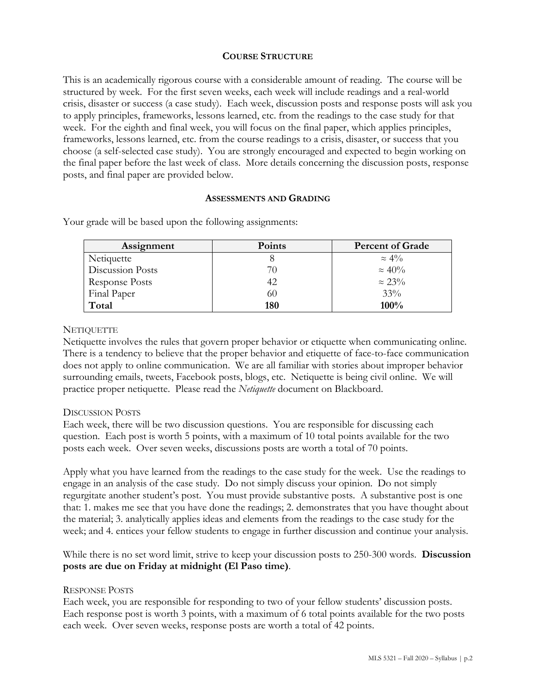### **COURSE STRUCTURE**

This is an academically rigorous course with a considerable amount of reading. The course will be structured by week. For the first seven weeks, each week will include readings and a real-world crisis, disaster or success (a case study). Each week, discussion posts and response posts will ask you to apply principles, frameworks, lessons learned, etc. from the readings to the case study for that week. For the eighth and final week, you will focus on the final paper, which applies principles, frameworks, lessons learned, etc. from the course readings to a crisis, disaster, or success that you choose (a self-selected case study). You are strongly encouraged and expected to begin working on the final paper before the last week of class. More details concerning the discussion posts, response posts, and final paper are provided below.

#### **ASSESSMENTS AND GRADING**

| Assignment            | <b>Points</b> | <b>Percent of Grade</b> |
|-----------------------|---------------|-------------------------|
| Netiquette            |               | $\approx 4\%$           |
| Discussion Posts      | 70            | $\approx 40\%$          |
| <b>Response Posts</b> | 42            | $\approx 23\%$          |
| Final Paper           | 60            | 33%                     |
| Total                 | 180           | 100%                    |

Your grade will be based upon the following assignments:

### **NETIQUETTE**

Netiquette involves the rules that govern proper behavior or etiquette when communicating online. There is a tendency to believe that the proper behavior and etiquette of face-to-face communication does not apply to online communication. We are all familiar with stories about improper behavior surrounding emails, tweets, Facebook posts, blogs, etc. Netiquette is being civil online. We will practice proper netiquette. Please read the *Netiquette* document on Blackboard.

### DISCUSSION POSTS

Each week, there will be two discussion questions. You are responsible for discussing each question. Each post is worth 5 points, with a maximum of 10 total points available for the two posts each week. Over seven weeks, discussions posts are worth a total of 70 points.

Apply what you have learned from the readings to the case study for the week. Use the readings to engage in an analysis of the case study. Do not simply discuss your opinion. Do not simply regurgitate another student's post. You must provide substantive posts. A substantive post is one that: 1. makes me see that you have done the readings; 2. demonstrates that you have thought about the material; 3. analytically applies ideas and elements from the readings to the case study for the week; and 4. entices your fellow students to engage in further discussion and continue your analysis.

While there is no set word limit, strive to keep your discussion posts to 250-300 words. **Discussion posts are due on Friday at midnight (El Paso time)**.

### RESPONSE POSTS

Each week, you are responsible for responding to two of your fellow students' discussion posts. Each response post is worth 3 points, with a maximum of 6 total points available for the two posts each week. Over seven weeks, response posts are worth a total of 42 points.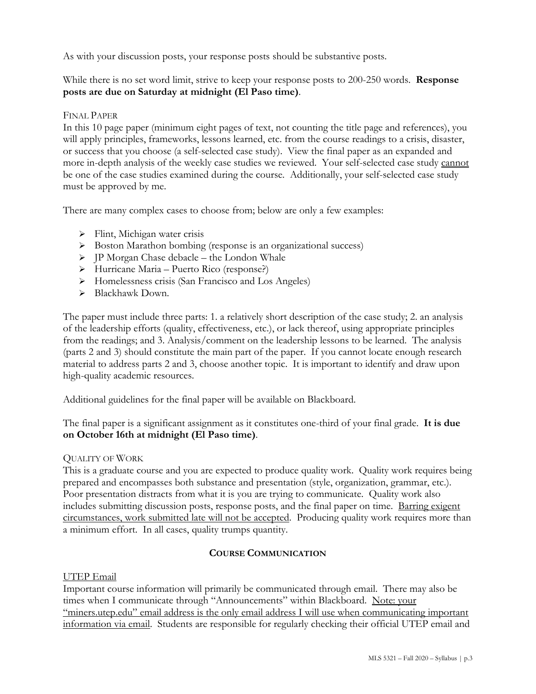As with your discussion posts, your response posts should be substantive posts.

## While there is no set word limit, strive to keep your response posts to 200-250 words. **Response posts are due on Saturday at midnight (El Paso time)**.

### FINAL PAPER

In this 10 page paper (minimum eight pages of text, not counting the title page and references), you will apply principles, frameworks, lessons learned, etc. from the course readings to a crisis, disaster, or success that you choose (a self-selected case study). View the final paper as an expanded and more in-depth analysis of the weekly case studies we reviewed. Your self-selected case study cannot be one of the case studies examined during the course. Additionally, your self-selected case study must be approved by me.

There are many complex cases to choose from; below are only a few examples:

- $\triangleright$  Flint, Michigan water crisis
- Boston Marathon bombing (response is an organizational success)
- $\triangleright$  JP Morgan Chase debacle the London Whale
- Hurricane Maria Puerto Rico (response?)
- > Homelessness crisis (San Francisco and Los Angeles)
- > Blackhawk Down.

The paper must include three parts: 1. a relatively short description of the case study; 2. an analysis of the leadership efforts (quality, effectiveness, etc.), or lack thereof, using appropriate principles from the readings; and 3. Analysis/comment on the leadership lessons to be learned. The analysis (parts 2 and 3) should constitute the main part of the paper. If you cannot locate enough research material to address parts 2 and 3, choose another topic. It is important to identify and draw upon high-quality academic resources.

Additional guidelines for the final paper will be available on Blackboard.

The final paper is a significant assignment as it constitutes one-third of your final grade. **It is due on October 16th at midnight (El Paso time)**.

### QUALITY OF WORK

This is a graduate course and you are expected to produce quality work. Quality work requires being prepared and encompasses both substance and presentation (style, organization, grammar, etc.). Poor presentation distracts from what it is you are trying to communicate. Quality work also includes submitting discussion posts, response posts, and the final paper on time. Barring exigent circumstances, work submitted late will not be accepted. Producing quality work requires more than a minimum effort. In all cases, quality trumps quantity.

## **COURSE COMMUNICATION**

### UTEP Email

Important course information will primarily be communicated through email. There may also be times when I communicate through "Announcements" within Blackboard. Note: your "miners.utep.edu" email address is the only email address I will use when communicating important information via email. Students are responsible for regularly checking their official UTEP email and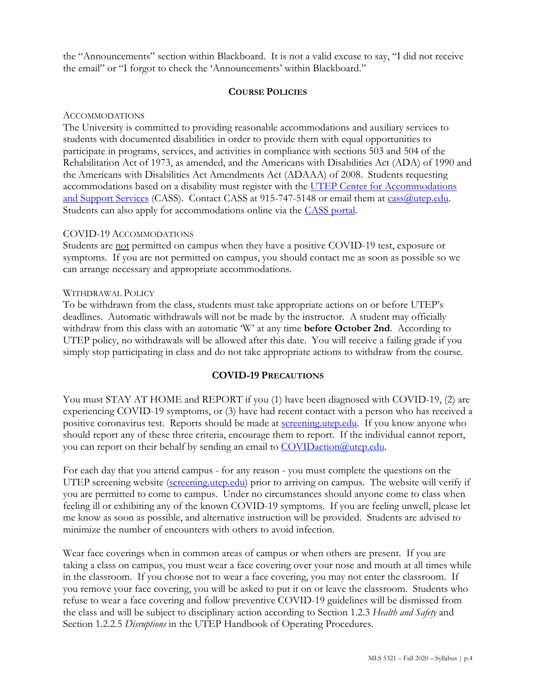the "Announcements" section within Blackboard. It is not a valid excuse to say, "I did not receive the email" or "I forgot to check the 'Announcements' within Blackboard."

### **COURSE POLICIES**

#### ACCOMMODATIONS

The University is committed to providing reasonable accommodations and auxiliary services to students with documented disabilities in order to provide them with equal opportunities to participate in programs, services, and activities in compliance with sections 503 and 504 of the Rehabilitation Act of 1973, as amended, and the Americans with Disabilities Act (ADA) of 1990 and the Americans with Disabilities Act Amendments Act (ADAAA) of 2008. Students requesting accommodations based on a disability must register with the UTEP Center for Accommodations [and Support Services](https://www.utep.edu/student-affairs/cass/ada-policies/accommodations-for-individuals-with-disabilities%20.html) (CASS). Contact CASS at 915-747-5148 or email them at cass @utep.edu. Students can also apply for accommodations online via the [CASS portal.](https://www.utep.edu/student-affairs/cass/aim/index.html)

### COVID-19 ACCOMMODATIONS

Students are not permitted on campus when they have a positive COVID-19 test, exposure or symptoms. If you are not permitted on campus, you should contact me as soon as possible so we can arrange necessary and appropriate accommodations.

#### WITHDRAWAL POLICY

To be withdrawn from the class, students must take appropriate actions on or before UTEP's deadlines. Automatic withdrawals will not be made by the instructor. A student may officially withdraw from this class with an automatic 'W' at any time **before October 2nd**. According to UTEP policy, no withdrawals will be allowed after this date. You will receive a failing grade if you simply stop participating in class and do not take appropriate actions to withdraw from the course.

### **COVID-19 PRECAUTIONS**

You must STAY AT HOME and REPORT if you (1) have been diagnosed with COVID-19, (2) are experiencing COVID-19 symptoms, or (3) have had recent contact with a person who has received a positive coronavirus test. Reports should be made at **screening.utep.edu**. If you know anyone who should report any of these three criteria, encourage them to report. If the individual cannot report, you can report on their behalf by sending an email to [COVIDaction@utep.edu.](mailto:COVIDaction@utep.edu)

For each day that you attend campus - for any reason - you must complete the questions on the UTEP screening website [\(screening.utep.edu\)](http://www.screening.utep.edu/) prior to arriving on campus. The website will verify if you are permitted to come to campus. Under no circumstances should anyone come to class when feeling ill or exhibiting any of the known COVID-19 symptoms. If you are feeling unwell, please let me know as soon as possible, and alternative instruction will be provided. Students are advised to minimize the number of encounters with others to avoid infection.

Wear face coverings when in common areas of campus or when others are present. If you are taking a class on campus, you must wear a face covering over your nose and mouth at all times while in the classroom. If you choose not to wear a face covering, you may not enter the classroom. If you remove your face covering, you will be asked to put it on or leave the classroom. Students who refuse to wear a face covering and follow preventive COVID-19 guidelines will be dismissed from the class and will be subject to disciplinary action according to Section 1.2.3 *Health and Safety* and Section 1.2.2.5 *Disruptions* in the UTEP Handbook of Operating Procedures.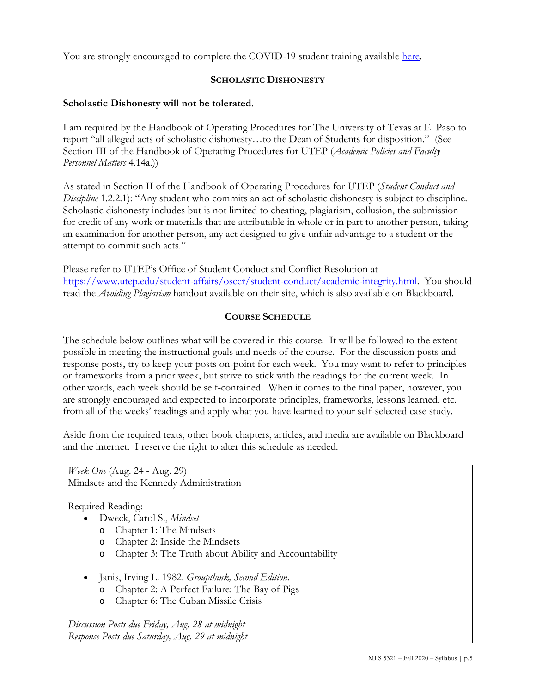You are strongly encouraged to complete the COVID-19 student training available [here.](https://covidtraining.questionpro.com/)

# **SCHOLASTIC DISHONESTY**

# **Scholastic Dishonesty will not be tolerated**.

I am required by the Handbook of Operating Procedures for The University of Texas at El Paso to report "all alleged acts of scholastic dishonesty…to the Dean of Students for disposition." (See Section III of the Handbook of Operating Procedures for UTEP (*Academic Policies and Faculty Personnel Matters* 4.14a.))

As stated in Section II of the Handbook of Operating Procedures for UTEP (*Student Conduct and Discipline* 1.2.2.1): "Any student who commits an act of scholastic dishonesty is subject to discipline. Scholastic dishonesty includes but is not limited to cheating, plagiarism, collusion, the submission for credit of any work or materials that are attributable in whole or in part to another person, taking an examination for another person, any act designed to give unfair advantage to a student or the attempt to commit such acts."

Please refer to UTEP's Office of Student Conduct and Conflict Resolution at [https://www.utep.edu/student-affairs/osccr/student-conduct/academic-integrity.html.](https://www.utep.edu/student-affairs/osccr/student-conduct/academic-integrity.html) You should read the *Avoiding Plagiarism* handout available on their site, which is also available on Blackboard.

# **COURSE SCHEDULE**

The schedule below outlines what will be covered in this course. It will be followed to the extent possible in meeting the instructional goals and needs of the course. For the discussion posts and response posts, try to keep your posts on-point for each week. You may want to refer to principles or frameworks from a prior week, but strive to stick with the readings for the current week. In other words, each week should be self-contained. When it comes to the final paper, however, you are strongly encouraged and expected to incorporate principles, frameworks, lessons learned, etc. from all of the weeks' readings and apply what you have learned to your self-selected case study.

Aside from the required texts, other book chapters, articles, and media are available on Blackboard and the internet. I reserve the right to alter this schedule as needed.

*Week One* (Aug. 24 - Aug. 29)

Mindsets and the Kennedy Administration

Required Reading:

- Dweck, Carol S., *Mindset*
	- o Chapter 1: The Mindsets
	- o Chapter 2: Inside the Mindsets
	- o Chapter 3: The Truth about Ability and Accountability
- Janis, Irving L. 1982. *Groupthink, Second Edition*.
	- o Chapter 2: A Perfect Failure: The Bay of Pigs
	- o Chapter 6: The Cuban Missile Crisis

*Discussion Posts due Friday, Aug. 28 at midnight Response Posts due Saturday, Aug. 29 at midnight*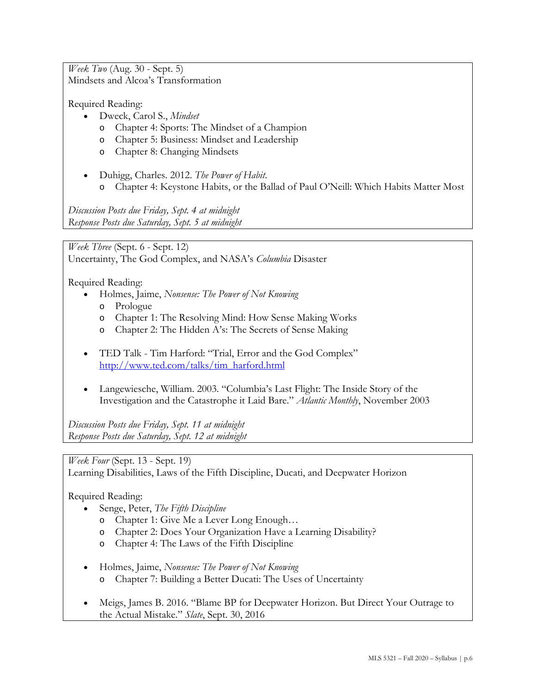*Week Two* (Aug. 30 - Sept. 5) Mindsets and Alcoa's Transformation

Required Reading:

- Dweck, Carol S., *Mindset*
	- o Chapter 4: Sports: The Mindset of a Champion
	- o Chapter 5: Business: Mindset and Leadership
	- o Chapter 8: Changing Mindsets
- Duhigg, Charles. 2012. *The Power of Habit*.
	- o Chapter 4: Keystone Habits, or the Ballad of Paul O'Neill: Which Habits Matter Most

*Discussion Posts due Friday, Sept. 4 at midnight Response Posts due Saturday, Sept. 5 at midnight*

*Week Three* (Sept. 6 - Sept. 12) Uncertainty, The God Complex, and NASA's *Columbia* Disaster

Required Reading:

- Holmes, Jaime, *Nonsense: The Power of Not Knowing*
	- o Prologue
	- o Chapter 1: The Resolving Mind: How Sense Making Works
	- Chapter 2: The Hidden A's: The Secrets of Sense Making
- TED Talk Tim Harford: "Trial, Error and the God Complex" [http://www.ted.com/talks/tim\\_harford.html](http://www.ted.com/talks/tim_harford.html)
- Langewiesche, William. 2003. "Columbia's Last Flight: The Inside Story of the Investigation and the Catastrophe it Laid Bare." *Atlantic Monthly*, November 2003

*Discussion Posts due Friday, Sept. 11 at midnight Response Posts due Saturday, Sept. 12 at midnight*

*Week Four* (Sept. 13 - Sept. 19)

Learning Disabilities, Laws of the Fifth Discipline, Ducati, and Deepwater Horizon

Required Reading:

- Senge, Peter, *The Fifth Discipline*
	- o Chapter 1: Give Me a Lever Long Enough…
	- o Chapter 2: Does Your Organization Have a Learning Disability?
	- o Chapter 4: The Laws of the Fifth Discipline
- Holmes, Jaime, *Nonsense: The Power of Not Knowing*
	- o Chapter 7: Building a Better Ducati: The Uses of Uncertainty
- Meigs, James B. 2016. "Blame BP for Deepwater Horizon. But Direct Your Outrage to the Actual Mistake." *Slate*, Sept. 30, 2016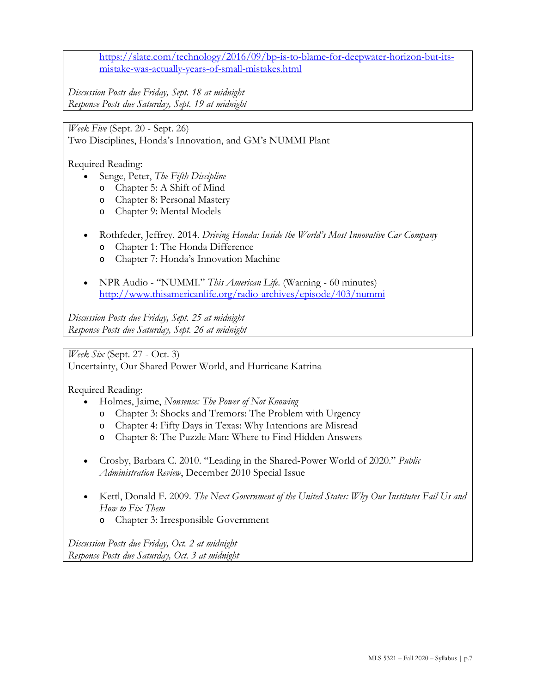[https://slate.com/technology/2016/09/bp-is-to-blame-for-deepwater-horizon-but-its](https://slate.com/technology/2016/09/bp-is-to-blame-for-deepwater-horizon-but-its-mistake-was-actually-years-of-small-mistakes.html)[mistake-was-actually-years-of-small-mistakes.html](https://slate.com/technology/2016/09/bp-is-to-blame-for-deepwater-horizon-but-its-mistake-was-actually-years-of-small-mistakes.html)

*Discussion Posts due Friday, Sept. 18 at midnight Response Posts due Saturday, Sept. 19 at midnight*

*Week Five* (Sept. 20 - Sept. 26)

Two Disciplines, Honda's Innovation, and GM's NUMMI Plant

Required Reading:

- Senge, Peter, *The Fifth Discipline*
	- o Chapter 5: A Shift of Mind
	- o Chapter 8: Personal Mastery
	- o Chapter 9: Mental Models
- Rothfeder, Jeffrey. 2014. *Driving Honda: Inside the World's Most Innovative Car Company*
	- o Chapter 1: The Honda Difference
	- o Chapter 7: Honda's Innovation Machine
- NPR Audio "NUMMI." *This American Life*. (Warning 60 minutes) <http://www.thisamericanlife.org/radio-archives/episode/403/nummi>

*Discussion Posts due Friday, Sept. 25 at midnight Response Posts due Saturday, Sept. 26 at midnight*

*Week Six* (Sept. 27 - Oct. 3)

Uncertainty, Our Shared Power World, and Hurricane Katrina

Required Reading:

- Holmes, Jaime, *Nonsense: The Power of Not Knowing*
	- o Chapter 3: Shocks and Tremors: The Problem with Urgency
	- o Chapter 4: Fifty Days in Texas: Why Intentions are Misread
	- o Chapter 8: The Puzzle Man: Where to Find Hidden Answers
- Crosby, Barbara C. 2010. "Leading in the Shared-Power World of 2020." *Public Administration Review*, December 2010 Special Issue
- Kettl, Donald F. 2009. *The Next Government of the United States: Why Our Institutes Fail Us and How to Fix Them* o Chapter 3: Irresponsible Government

*Discussion Posts due Friday, Oct. 2 at midnight*

*Response Posts due Saturday, Oct. 3 at midnight*